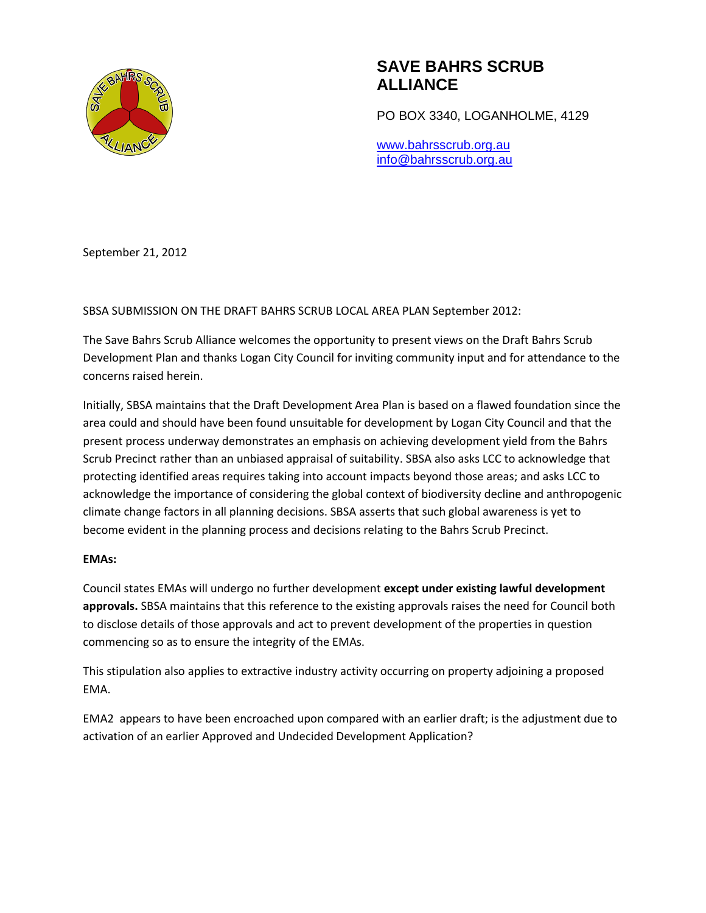

PO BOX 3340, LOGANHOLME, 4129

www.bahrsscrub.org.au info@bahrsscrub.org.au

September 21, 2012

SBSA SUBMISSION ON THE DRAFT BAHRS SCRUB LOCAL AREA PLAN September 2012:

The Save Bahrs Scrub Alliance welcomes the opportunity to present views on the Draft Bahrs Scrub Development Plan and thanks Logan City Council for inviting community input and for attendance to the concerns raised herein.

Initially, SBSA maintains that the Draft Development Area Plan is based on a flawed foundation since the area could and should have been found unsuitable for development by Logan City Council and that the present process underway demonstrates an emphasis on achieving development yield from the Bahrs Scrub Precinct rather than an unbiased appraisal of suitability. SBSA also asks LCC to acknowledge that protecting identified areas requires taking into account impacts beyond those areas; and asks LCC to acknowledge the importance of considering the global context of biodiversity decline and anthropogenic climate change factors in all planning decisions. SBSA asserts that such global awareness is yet to become evident in the planning process and decisions relating to the Bahrs Scrub Precinct.

### **EMAs:**

Council states EMAs will undergo no further development **except under existing lawful development approvals.** SBSA maintains that this reference to the existing approvals raises the need for Council both to disclose details of those approvals and act to prevent development of the properties in question commencing so as to ensure the integrity of the EMAs.

This stipulation also applies to extractive industry activity occurring on property adjoining a proposed EMA.

EMA2 appears to have been encroached upon compared with an earlier draft; is the adjustment due to activation of an earlier Approved and Undecided Development Application?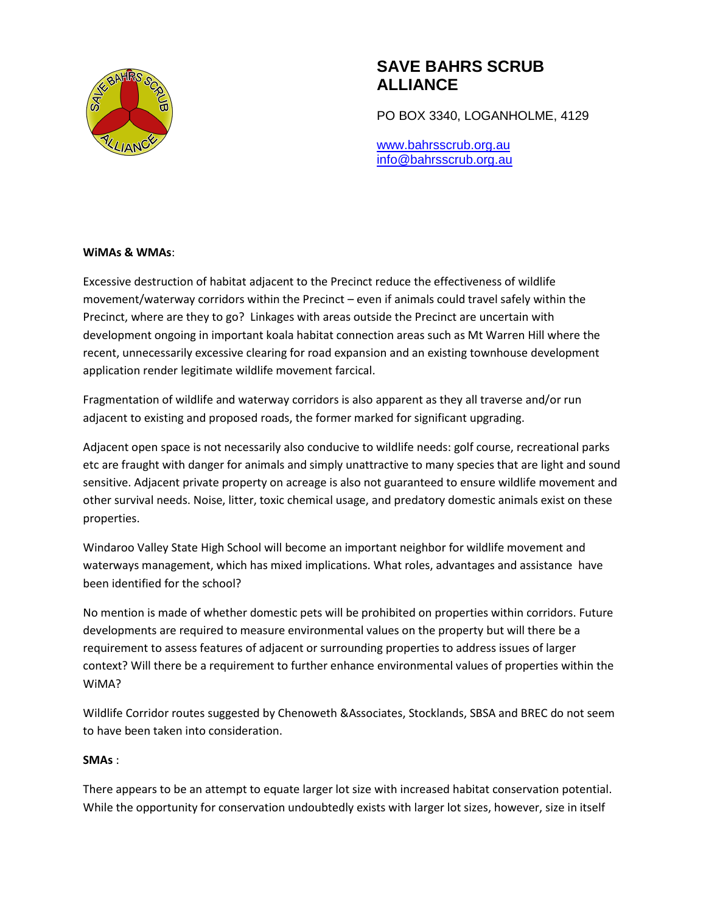

PO BOX 3340, LOGANHOLME, 4129

www.bahrsscrub.org.au info@bahrsscrub.org.au

#### **WiMAs & WMAs**:

Excessive destruction of habitat adjacent to the Precinct reduce the effectiveness of wildlife movement/waterway corridors within the Precinct – even if animals could travel safely within the Precinct, where are they to go? Linkages with areas outside the Precinct are uncertain with development ongoing in important koala habitat connection areas such as Mt Warren Hill where the recent, unnecessarily excessive clearing for road expansion and an existing townhouse development application render legitimate wildlife movement farcical.

Fragmentation of wildlife and waterway corridors is also apparent as they all traverse and/or run adjacent to existing and proposed roads, the former marked for significant upgrading.

Adjacent open space is not necessarily also conducive to wildlife needs: golf course, recreational parks etc are fraught with danger for animals and simply unattractive to many species that are light and sound sensitive. Adjacent private property on acreage is also not guaranteed to ensure wildlife movement and other survival needs. Noise, litter, toxic chemical usage, and predatory domestic animals exist on these properties.

Windaroo Valley State High School will become an important neighbor for wildlife movement and waterways management, which has mixed implications. What roles, advantages and assistance have been identified for the school?

No mention is made of whether domestic pets will be prohibited on properties within corridors. Future developments are required to measure environmental values on the property but will there be a requirement to assess features of adjacent or surrounding properties to address issues of larger context? Will there be a requirement to further enhance environmental values of properties within the WiMA?

Wildlife Corridor routes suggested by Chenoweth &Associates, Stocklands, SBSA and BREC do not seem to have been taken into consideration.

### **SMAs** :

There appears to be an attempt to equate larger lot size with increased habitat conservation potential. While the opportunity for conservation undoubtedly exists with larger lot sizes, however, size in itself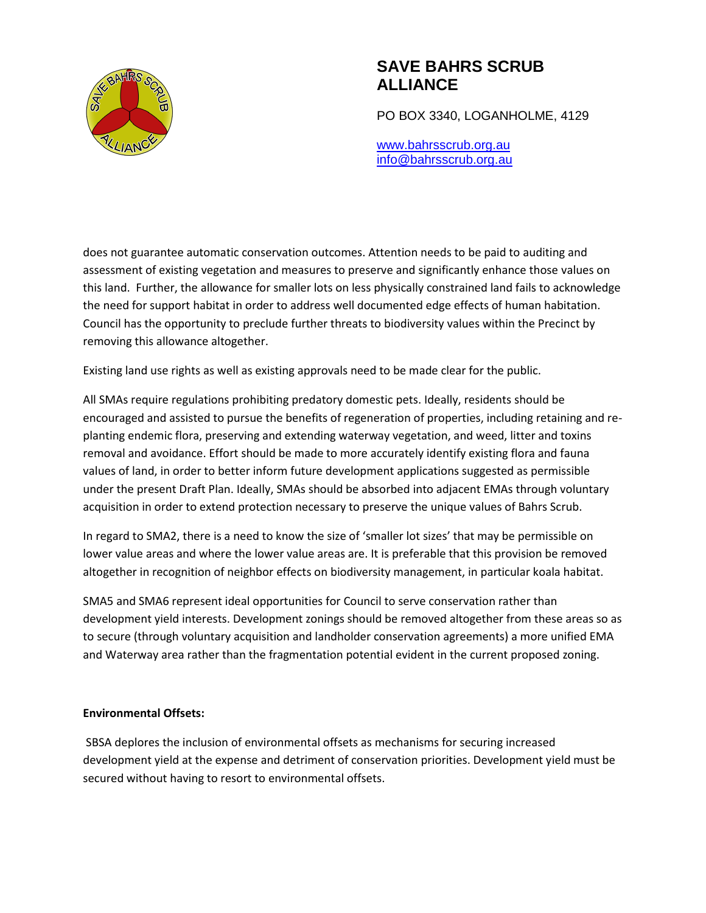

PO BOX 3340, LOGANHOLME, 4129

www.bahrsscrub.org.au info@bahrsscrub.org.au

does not guarantee automatic conservation outcomes. Attention needs to be paid to auditing and assessment of existing vegetation and measures to preserve and significantly enhance those values on this land. Further, the allowance for smaller lots on less physically constrained land fails to acknowledge the need for support habitat in order to address well documented edge effects of human habitation. Council has the opportunity to preclude further threats to biodiversity values within the Precinct by removing this allowance altogether.

Existing land use rights as well as existing approvals need to be made clear for the public.

All SMAs require regulations prohibiting predatory domestic pets. Ideally, residents should be encouraged and assisted to pursue the benefits of regeneration of properties, including retaining and replanting endemic flora, preserving and extending waterway vegetation, and weed, litter and toxins removal and avoidance. Effort should be made to more accurately identify existing flora and fauna values of land, in order to better inform future development applications suggested as permissible under the present Draft Plan. Ideally, SMAs should be absorbed into adjacent EMAs through voluntary acquisition in order to extend protection necessary to preserve the unique values of Bahrs Scrub.

In regard to SMA2, there is a need to know the size of 'smaller lot sizes' that may be permissible on lower value areas and where the lower value areas are. It is preferable that this provision be removed altogether in recognition of neighbor effects on biodiversity management, in particular koala habitat.

SMA5 and SMA6 represent ideal opportunities for Council to serve conservation rather than development yield interests. Development zonings should be removed altogether from these areas so as to secure (through voluntary acquisition and landholder conservation agreements) a more unified EMA and Waterway area rather than the fragmentation potential evident in the current proposed zoning.

### **Environmental Offsets:**

SBSA deplores the inclusion of environmental offsets as mechanisms for securing increased development yield at the expense and detriment of conservation priorities. Development yield must be secured without having to resort to environmental offsets.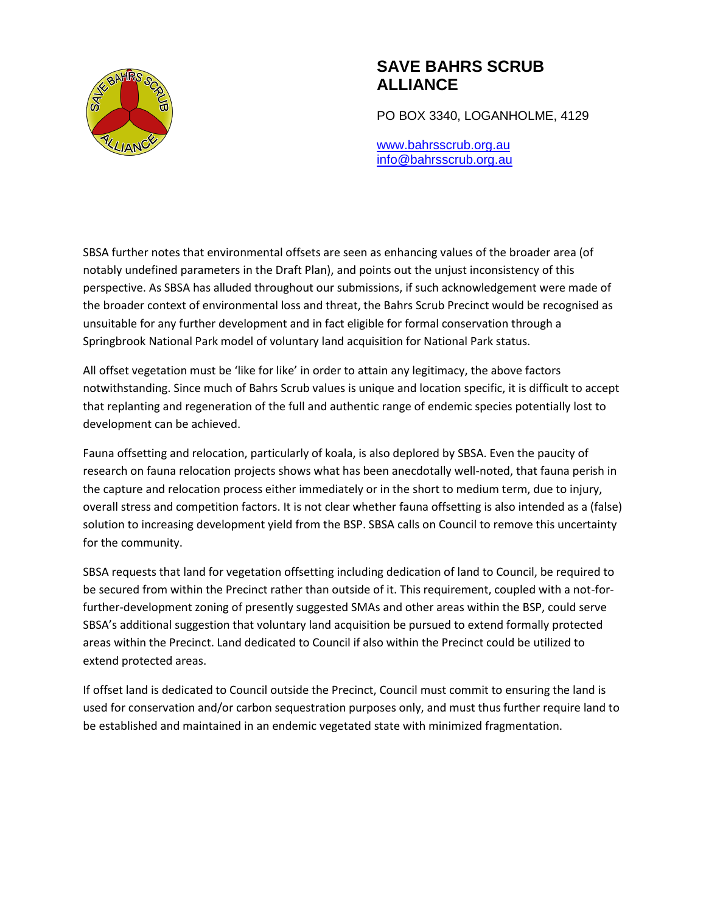

PO BOX 3340, LOGANHOLME, 4129

www.bahrsscrub.org.au info@bahrsscrub.org.au

SBSA further notes that environmental offsets are seen as enhancing values of the broader area (of notably undefined parameters in the Draft Plan), and points out the unjust inconsistency of this perspective. As SBSA has alluded throughout our submissions, if such acknowledgement were made of the broader context of environmental loss and threat, the Bahrs Scrub Precinct would be recognised as unsuitable for any further development and in fact eligible for formal conservation through a Springbrook National Park model of voluntary land acquisition for National Park status.

All offset vegetation must be 'like for like' in order to attain any legitimacy, the above factors notwithstanding. Since much of Bahrs Scrub values is unique and location specific, it is difficult to accept that replanting and regeneration of the full and authentic range of endemic species potentially lost to development can be achieved.

Fauna offsetting and relocation, particularly of koala, is also deplored by SBSA. Even the paucity of research on fauna relocation projects shows what has been anecdotally well-noted, that fauna perish in the capture and relocation process either immediately or in the short to medium term, due to injury, overall stress and competition factors. It is not clear whether fauna offsetting is also intended as a (false) solution to increasing development yield from the BSP. SBSA calls on Council to remove this uncertainty for the community.

SBSA requests that land for vegetation offsetting including dedication of land to Council, be required to be secured from within the Precinct rather than outside of it. This requirement, coupled with a not-forfurther-development zoning of presently suggested SMAs and other areas within the BSP, could serve SBSA's additional suggestion that voluntary land acquisition be pursued to extend formally protected areas within the Precinct. Land dedicated to Council if also within the Precinct could be utilized to extend protected areas.

If offset land is dedicated to Council outside the Precinct, Council must commit to ensuring the land is used for conservation and/or carbon sequestration purposes only, and must thus further require land to be established and maintained in an endemic vegetated state with minimized fragmentation.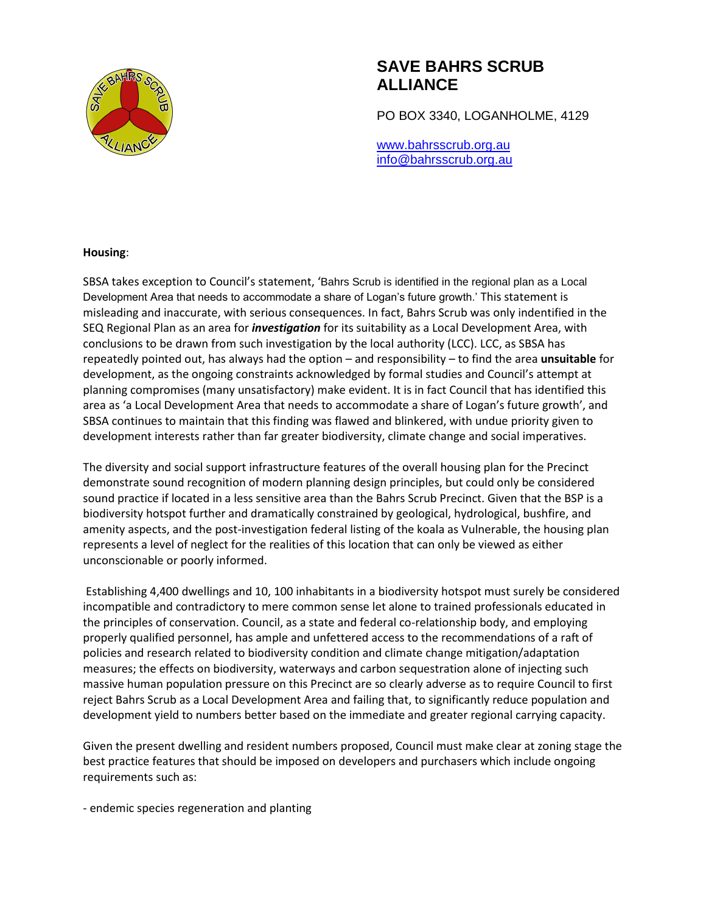

PO BOX 3340, LOGANHOLME, 4129

www.bahrsscrub.org.au info@bahrsscrub.org.au

#### **Housing**:

SBSA takes exception to Council's statement, 'Bahrs Scrub is identified in the regional plan as a Local Development Area that needs to accommodate a share of Logan's future growth.' This statement is misleading and inaccurate, with serious consequences. In fact, Bahrs Scrub was only indentified in the SEQ Regional Plan as an area for *investigation* for its suitability as a Local Development Area, with conclusions to be drawn from such investigation by the local authority (LCC). LCC, as SBSA has repeatedly pointed out, has always had the option – and responsibility – to find the area **unsuitable** for development, as the ongoing constraints acknowledged by formal studies and Council's attempt at planning compromises (many unsatisfactory) make evident. It is in fact Council that has identified this area as 'a Local Development Area that needs to accommodate a share of Logan's future growth', and SBSA continues to maintain that this finding was flawed and blinkered, with undue priority given to development interests rather than far greater biodiversity, climate change and social imperatives.

The diversity and social support infrastructure features of the overall housing plan for the Precinct demonstrate sound recognition of modern planning design principles, but could only be considered sound practice if located in a less sensitive area than the Bahrs Scrub Precinct. Given that the BSP is a biodiversity hotspot further and dramatically constrained by geological, hydrological, bushfire, and amenity aspects, and the post-investigation federal listing of the koala as Vulnerable, the housing plan represents a level of neglect for the realities of this location that can only be viewed as either unconscionable or poorly informed.

Establishing 4,400 dwellings and 10, 100 inhabitants in a biodiversity hotspot must surely be considered incompatible and contradictory to mere common sense let alone to trained professionals educated in the principles of conservation. Council, as a state and federal co-relationship body, and employing properly qualified personnel, has ample and unfettered access to the recommendations of a raft of policies and research related to biodiversity condition and climate change mitigation/adaptation measures; the effects on biodiversity, waterways and carbon sequestration alone of injecting such massive human population pressure on this Precinct are so clearly adverse as to require Council to first reject Bahrs Scrub as a Local Development Area and failing that, to significantly reduce population and development yield to numbers better based on the immediate and greater regional carrying capacity.

Given the present dwelling and resident numbers proposed, Council must make clear at zoning stage the best practice features that should be imposed on developers and purchasers which include ongoing requirements such as:

- endemic species regeneration and planting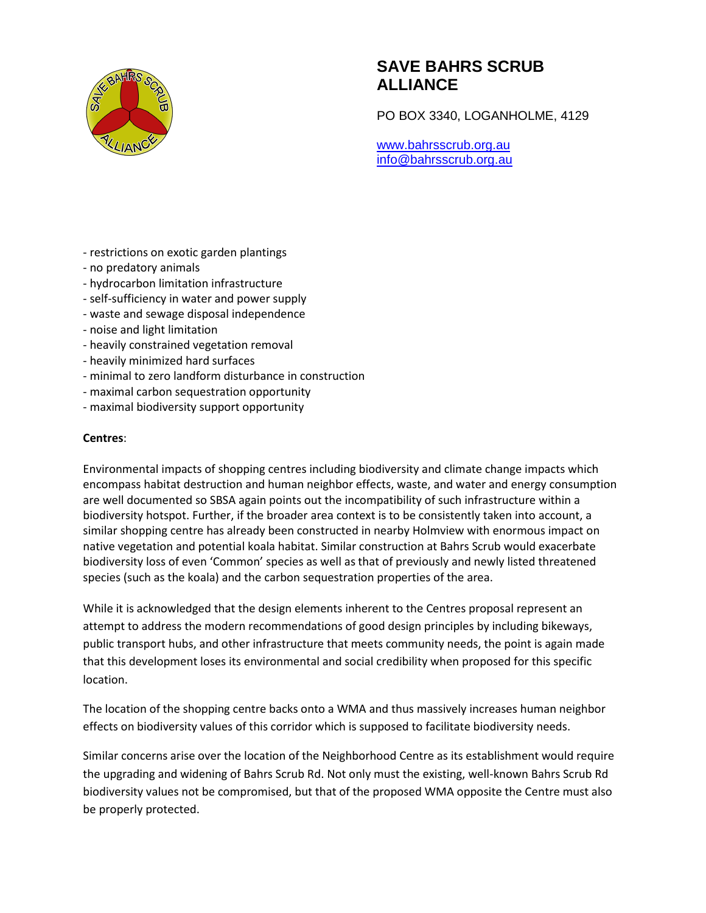

PO BOX 3340, LOGANHOLME, 4129

www.bahrsscrub.org.au info@bahrsscrub.org.au

- restrictions on exotic garden plantings
- no predatory animals
- hydrocarbon limitation infrastructure
- self-sufficiency in water and power supply
- waste and sewage disposal independence
- noise and light limitation
- heavily constrained vegetation removal
- heavily minimized hard surfaces
- minimal to zero landform disturbance in construction
- maximal carbon sequestration opportunity
- maximal biodiversity support opportunity

### **Centres**:

Environmental impacts of shopping centres including biodiversity and climate change impacts which encompass habitat destruction and human neighbor effects, waste, and water and energy consumption are well documented so SBSA again points out the incompatibility of such infrastructure within a biodiversity hotspot. Further, if the broader area context is to be consistently taken into account, a similar shopping centre has already been constructed in nearby Holmview with enormous impact on native vegetation and potential koala habitat. Similar construction at Bahrs Scrub would exacerbate biodiversity loss of even 'Common' species as well as that of previously and newly listed threatened species (such as the koala) and the carbon sequestration properties of the area.

While it is acknowledged that the design elements inherent to the Centres proposal represent an attempt to address the modern recommendations of good design principles by including bikeways, public transport hubs, and other infrastructure that meets community needs, the point is again made that this development loses its environmental and social credibility when proposed for this specific location.

The location of the shopping centre backs onto a WMA and thus massively increases human neighbor effects on biodiversity values of this corridor which is supposed to facilitate biodiversity needs.

Similar concerns arise over the location of the Neighborhood Centre as its establishment would require the upgrading and widening of Bahrs Scrub Rd. Not only must the existing, well-known Bahrs Scrub Rd biodiversity values not be compromised, but that of the proposed WMA opposite the Centre must also be properly protected.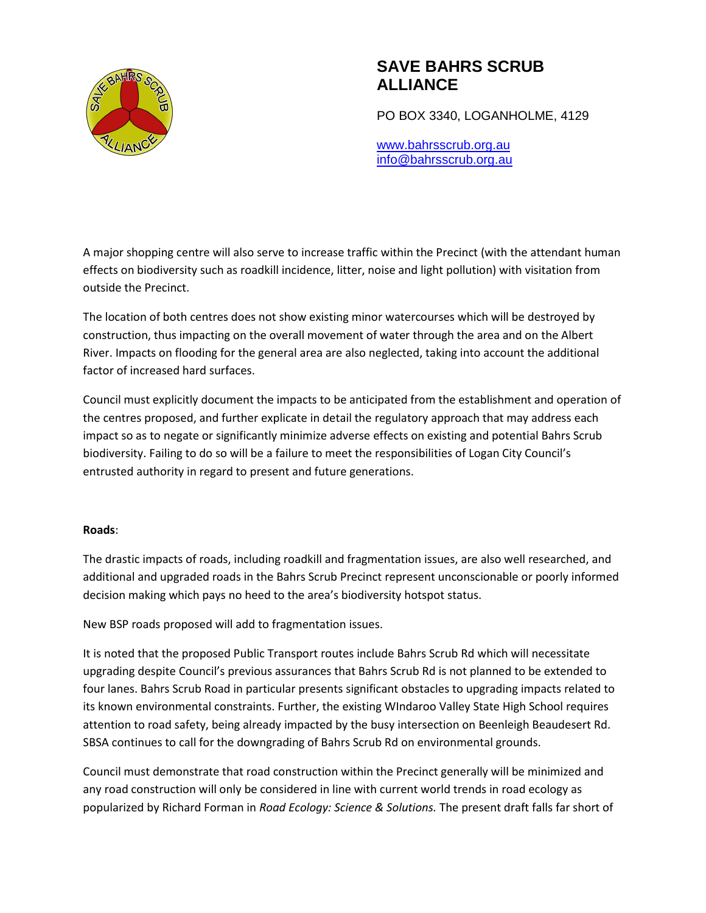

PO BOX 3340, LOGANHOLME, 4129

www.bahrsscrub.org.au info@bahrsscrub.org.au

A major shopping centre will also serve to increase traffic within the Precinct (with the attendant human effects on biodiversity such as roadkill incidence, litter, noise and light pollution) with visitation from outside the Precinct.

The location of both centres does not show existing minor watercourses which will be destroyed by construction, thus impacting on the overall movement of water through the area and on the Albert River. Impacts on flooding for the general area are also neglected, taking into account the additional factor of increased hard surfaces.

Council must explicitly document the impacts to be anticipated from the establishment and operation of the centres proposed, and further explicate in detail the regulatory approach that may address each impact so as to negate or significantly minimize adverse effects on existing and potential Bahrs Scrub biodiversity. Failing to do so will be a failure to meet the responsibilities of Logan City Council's entrusted authority in regard to present and future generations.

### **Roads**:

The drastic impacts of roads, including roadkill and fragmentation issues, are also well researched, and additional and upgraded roads in the Bahrs Scrub Precinct represent unconscionable or poorly informed decision making which pays no heed to the area's biodiversity hotspot status.

New BSP roads proposed will add to fragmentation issues.

It is noted that the proposed Public Transport routes include Bahrs Scrub Rd which will necessitate upgrading despite Council's previous assurances that Bahrs Scrub Rd is not planned to be extended to four lanes. Bahrs Scrub Road in particular presents significant obstacles to upgrading impacts related to its known environmental constraints. Further, the existing WIndaroo Valley State High School requires attention to road safety, being already impacted by the busy intersection on Beenleigh Beaudesert Rd. SBSA continues to call for the downgrading of Bahrs Scrub Rd on environmental grounds.

Council must demonstrate that road construction within the Precinct generally will be minimized and any road construction will only be considered in line with current world trends in road ecology as popularized by Richard Forman in *Road Ecology: Science & Solutions.* The present draft falls far short of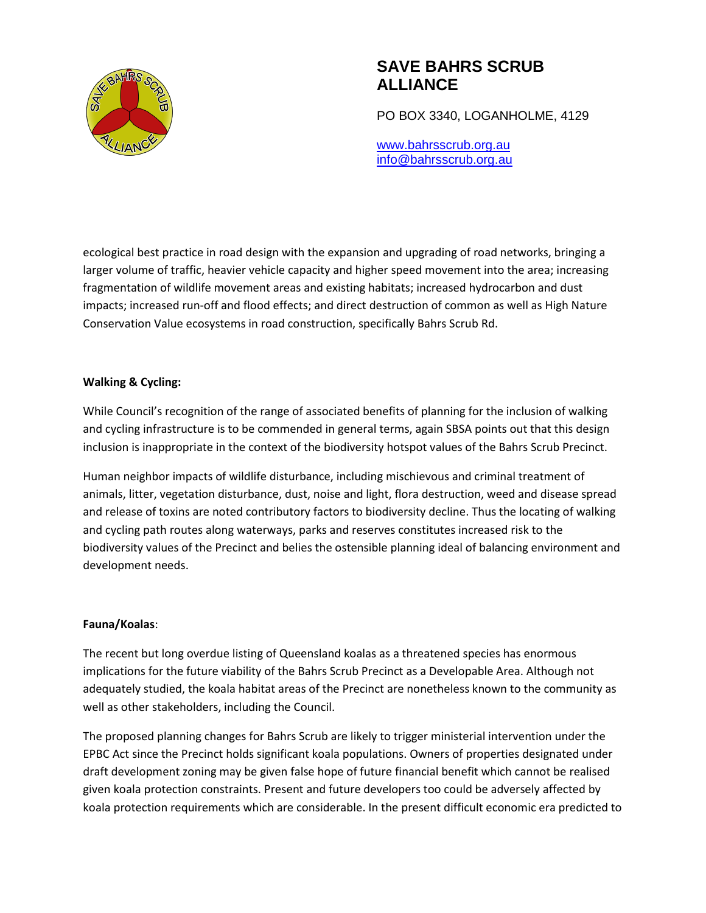

PO BOX 3340, LOGANHOLME, 4129

www.bahrsscrub.org.au info@bahrsscrub.org.au

ecological best practice in road design with the expansion and upgrading of road networks, bringing a larger volume of traffic, heavier vehicle capacity and higher speed movement into the area; increasing fragmentation of wildlife movement areas and existing habitats; increased hydrocarbon and dust impacts; increased run-off and flood effects; and direct destruction of common as well as High Nature Conservation Value ecosystems in road construction, specifically Bahrs Scrub Rd.

### **Walking & Cycling:**

While Council's recognition of the range of associated benefits of planning for the inclusion of walking and cycling infrastructure is to be commended in general terms, again SBSA points out that this design inclusion is inappropriate in the context of the biodiversity hotspot values of the Bahrs Scrub Precinct.

Human neighbor impacts of wildlife disturbance, including mischievous and criminal treatment of animals, litter, vegetation disturbance, dust, noise and light, flora destruction, weed and disease spread and release of toxins are noted contributory factors to biodiversity decline. Thus the locating of walking and cycling path routes along waterways, parks and reserves constitutes increased risk to the biodiversity values of the Precinct and belies the ostensible planning ideal of balancing environment and development needs.

### **Fauna/Koalas**:

The recent but long overdue listing of Queensland koalas as a threatened species has enormous implications for the future viability of the Bahrs Scrub Precinct as a Developable Area. Although not adequately studied, the koala habitat areas of the Precinct are nonetheless known to the community as well as other stakeholders, including the Council.

The proposed planning changes for Bahrs Scrub are likely to trigger ministerial intervention under the EPBC Act since the Precinct holds significant koala populations. Owners of properties designated under draft development zoning may be given false hope of future financial benefit which cannot be realised given koala protection constraints. Present and future developers too could be adversely affected by koala protection requirements which are considerable. In the present difficult economic era predicted to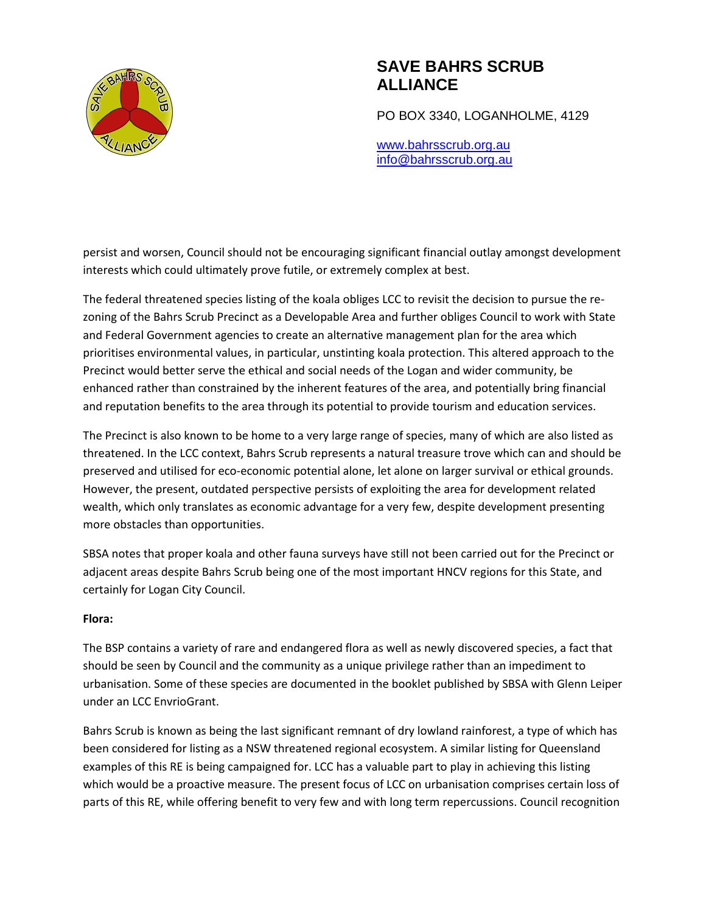

PO BOX 3340, LOGANHOLME, 4129

www.bahrsscrub.org.au info@bahrsscrub.org.au

persist and worsen, Council should not be encouraging significant financial outlay amongst development interests which could ultimately prove futile, or extremely complex at best.

The federal threatened species listing of the koala obliges LCC to revisit the decision to pursue the rezoning of the Bahrs Scrub Precinct as a Developable Area and further obliges Council to work with State and Federal Government agencies to create an alternative management plan for the area which prioritises environmental values, in particular, unstinting koala protection. This altered approach to the Precinct would better serve the ethical and social needs of the Logan and wider community, be enhanced rather than constrained by the inherent features of the area, and potentially bring financial and reputation benefits to the area through its potential to provide tourism and education services.

The Precinct is also known to be home to a very large range of species, many of which are also listed as threatened. In the LCC context, Bahrs Scrub represents a natural treasure trove which can and should be preserved and utilised for eco-economic potential alone, let alone on larger survival or ethical grounds. However, the present, outdated perspective persists of exploiting the area for development related wealth, which only translates as economic advantage for a very few, despite development presenting more obstacles than opportunities.

SBSA notes that proper koala and other fauna surveys have still not been carried out for the Precinct or adjacent areas despite Bahrs Scrub being one of the most important HNCV regions for this State, and certainly for Logan City Council.

### **Flora:**

The BSP contains a variety of rare and endangered flora as well as newly discovered species, a fact that should be seen by Council and the community as a unique privilege rather than an impediment to urbanisation. Some of these species are documented in the booklet published by SBSA with Glenn Leiper under an LCC EnvrioGrant.

Bahrs Scrub is known as being the last significant remnant of dry lowland rainforest, a type of which has been considered for listing as a NSW threatened regional ecosystem. A similar listing for Queensland examples of this RE is being campaigned for. LCC has a valuable part to play in achieving this listing which would be a proactive measure. The present focus of LCC on urbanisation comprises certain loss of parts of this RE, while offering benefit to very few and with long term repercussions. Council recognition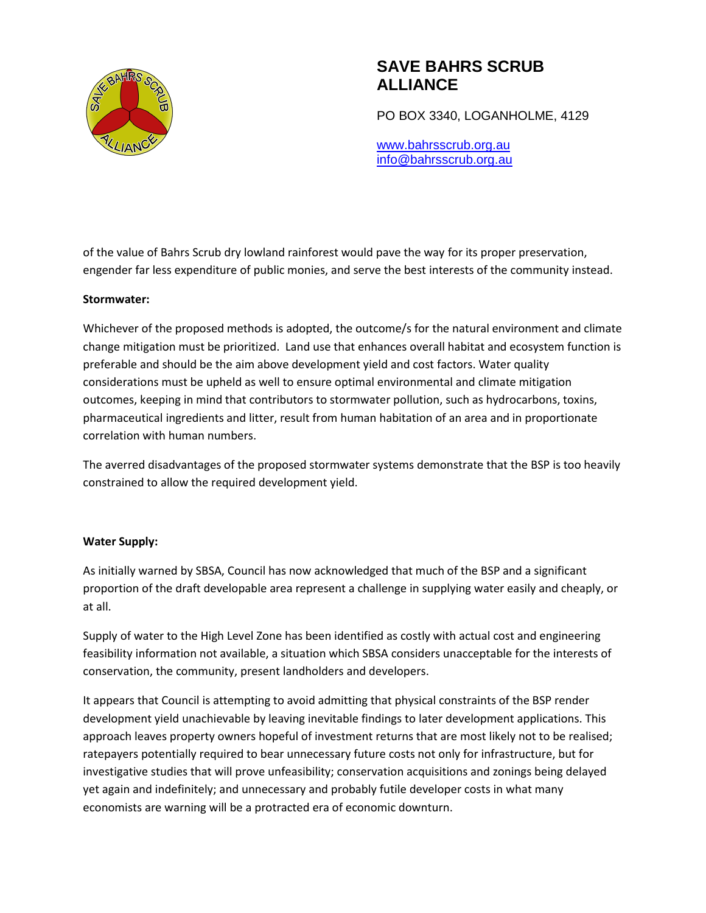

PO BOX 3340, LOGANHOLME, 4129

www.bahrsscrub.org.au info@bahrsscrub.org.au

of the value of Bahrs Scrub dry lowland rainforest would pave the way for its proper preservation, engender far less expenditure of public monies, and serve the best interests of the community instead.

### **Stormwater:**

Whichever of the proposed methods is adopted, the outcome/s for the natural environment and climate change mitigation must be prioritized. Land use that enhances overall habitat and ecosystem function is preferable and should be the aim above development yield and cost factors. Water quality considerations must be upheld as well to ensure optimal environmental and climate mitigation outcomes, keeping in mind that contributors to stormwater pollution, such as hydrocarbons, toxins, pharmaceutical ingredients and litter, result from human habitation of an area and in proportionate correlation with human numbers.

The averred disadvantages of the proposed stormwater systems demonstrate that the BSP is too heavily constrained to allow the required development yield.

### **Water Supply:**

As initially warned by SBSA, Council has now acknowledged that much of the BSP and a significant proportion of the draft developable area represent a challenge in supplying water easily and cheaply, or at all.

Supply of water to the High Level Zone has been identified as costly with actual cost and engineering feasibility information not available, a situation which SBSA considers unacceptable for the interests of conservation, the community, present landholders and developers.

It appears that Council is attempting to avoid admitting that physical constraints of the BSP render development yield unachievable by leaving inevitable findings to later development applications. This approach leaves property owners hopeful of investment returns that are most likely not to be realised; ratepayers potentially required to bear unnecessary future costs not only for infrastructure, but for investigative studies that will prove unfeasibility; conservation acquisitions and zonings being delayed yet again and indefinitely; and unnecessary and probably futile developer costs in what many economists are warning will be a protracted era of economic downturn.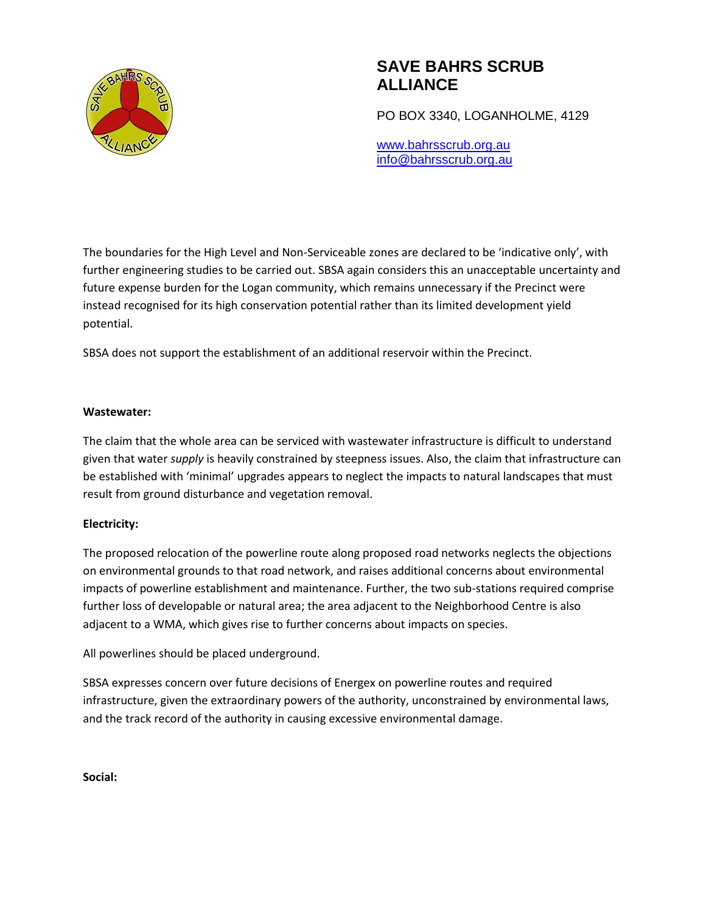

PO BOX 3340, LOGANHOLME, 4129

www.bahrsscrub.org.au info@bahrsscrub.org.au

The boundaries for the High Level and Non-Serviceable zones are declared to be 'indicative only', with further engineering studies to be carried out. SBSA again considers this an unacceptable uncertainty and future expense burden for the Logan community, which remains unnecessary if the Precinct were instead recognised for its high conservation potential rather than its limited development yield potential.

SBSA does not support the establishment of an additional reservoir within the Precinct.

### **Wastewater:**

The claim that the whole area can be serviced with wastewater infrastructure is difficult to understand given that water *supply* is heavily constrained by steepness issues. Also, the claim that infrastructure can be established with 'minimal' upgrades appears to neglect the impacts to natural landscapes that must result from ground disturbance and vegetation removal.

### **Electricity:**

The proposed relocation of the powerline route along proposed road networks neglects the objections on environmental grounds to that road network, and raises additional concerns about environmental impacts of powerline establishment and maintenance. Further, the two sub-stations required comprise further loss of developable or natural area; the area adjacent to the Neighborhood Centre is also adjacent to a WMA, which gives rise to further concerns about impacts on species.

All powerlines should be placed underground.

SBSA expresses concern over future decisions of Energex on powerline routes and required infrastructure, given the extraordinary powers of the authority, unconstrained by environmental laws, and the track record of the authority in causing excessive environmental damage.

**Social:**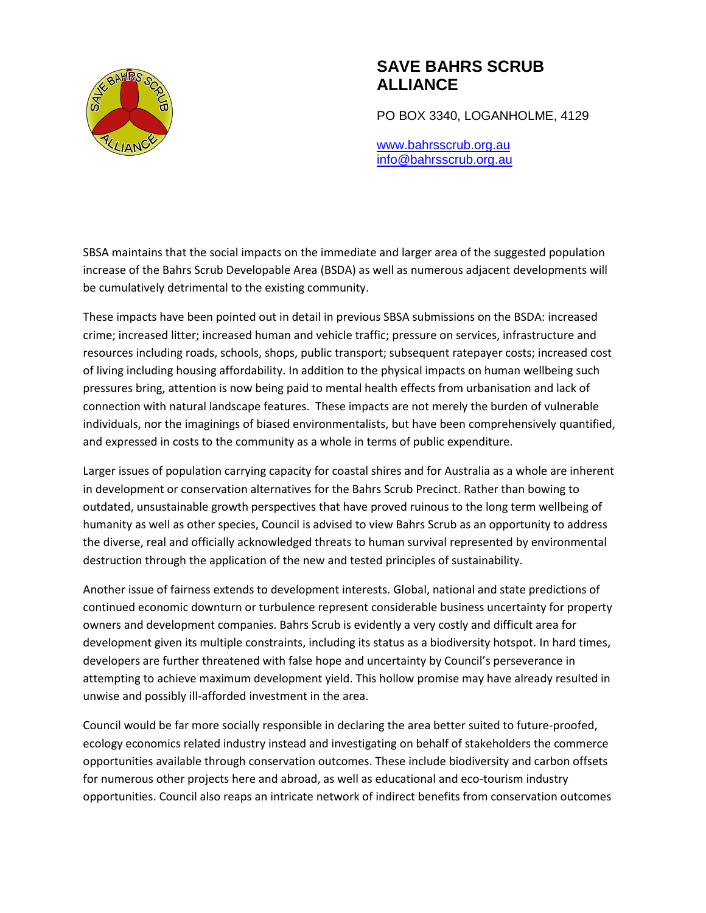

PO BOX 3340, LOGANHOLME, 4129

www.bahrsscrub.org.au info@bahrsscrub.org.au

SBSA maintains that the social impacts on the immediate and larger area of the suggested population increase of the Bahrs Scrub Developable Area (BSDA) as well as numerous adjacent developments will be cumulatively detrimental to the existing community.

These impacts have been pointed out in detail in previous SBSA submissions on the BSDA: increased crime; increased litter; increased human and vehicle traffic; pressure on services, infrastructure and resources including roads, schools, shops, public transport; subsequent ratepayer costs; increased cost of living including housing affordability. In addition to the physical impacts on human wellbeing such pressures bring, attention is now being paid to mental health effects from urbanisation and lack of connection with natural landscape features. These impacts are not merely the burden of vulnerable individuals, nor the imaginings of biased environmentalists, but have been comprehensively quantified, and expressed in costs to the community as a whole in terms of public expenditure.

Larger issues of population carrying capacity for coastal shires and for Australia as a whole are inherent in development or conservation alternatives for the Bahrs Scrub Precinct. Rather than bowing to outdated, unsustainable growth perspectives that have proved ruinous to the long term wellbeing of humanity as well as other species, Council is advised to view Bahrs Scrub as an opportunity to address the diverse, real and officially acknowledged threats to human survival represented by environmental destruction through the application of the new and tested principles of sustainability.

Another issue of fairness extends to development interests. Global, national and state predictions of continued economic downturn or turbulence represent considerable business uncertainty for property owners and development companies. Bahrs Scrub is evidently a very costly and difficult area for development given its multiple constraints, including its status as a biodiversity hotspot. In hard times, developers are further threatened with false hope and uncertainty by Council's perseverance in attempting to achieve maximum development yield. This hollow promise may have already resulted in unwise and possibly ill-afforded investment in the area.

Council would be far more socially responsible in declaring the area better suited to future-proofed, ecology economics related industry instead and investigating on behalf of stakeholders the commerce opportunities available through conservation outcomes. These include biodiversity and carbon offsets for numerous other projects here and abroad, as well as educational and eco-tourism industry opportunities. Council also reaps an intricate network of indirect benefits from conservation outcomes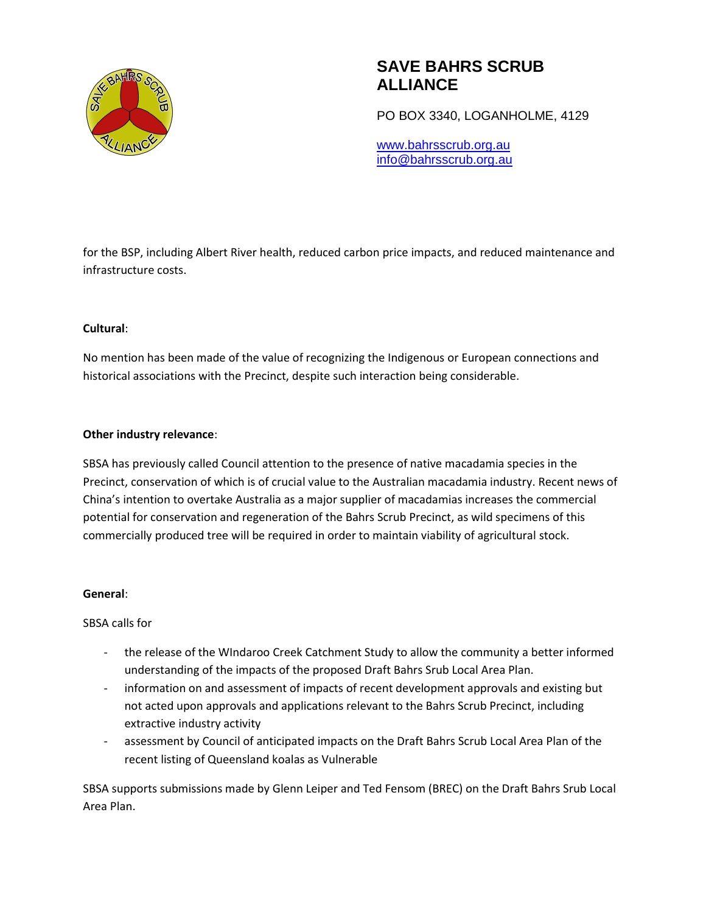

PO BOX 3340, LOGANHOLME, 4129

www.bahrsscrub.org.au info@bahrsscrub.org.au

for the BSP, including Albert River health, reduced carbon price impacts, and reduced maintenance and infrastructure costs.

### **Cultural**:

No mention has been made of the value of recognizing the Indigenous or European connections and historical associations with the Precinct, despite such interaction being considerable.

### **Other industry relevance**:

SBSA has previously called Council attention to the presence of native macadamia species in the Precinct, conservation of which is of crucial value to the Australian macadamia industry. Recent news of China's intention to overtake Australia as a major supplier of macadamias increases the commercial potential for conservation and regeneration of the Bahrs Scrub Precinct, as wild specimens of this commercially produced tree will be required in order to maintain viability of agricultural stock.

### **General**:

SBSA calls for

- the release of the WIndaroo Creek Catchment Study to allow the community a better informed understanding of the impacts of the proposed Draft Bahrs Srub Local Area Plan.
- information on and assessment of impacts of recent development approvals and existing but not acted upon approvals and applications relevant to the Bahrs Scrub Precinct, including extractive industry activity
- assessment by Council of anticipated impacts on the Draft Bahrs Scrub Local Area Plan of the recent listing of Queensland koalas as Vulnerable

SBSA supports submissions made by Glenn Leiper and Ted Fensom (BREC) on the Draft Bahrs Srub Local Area Plan.